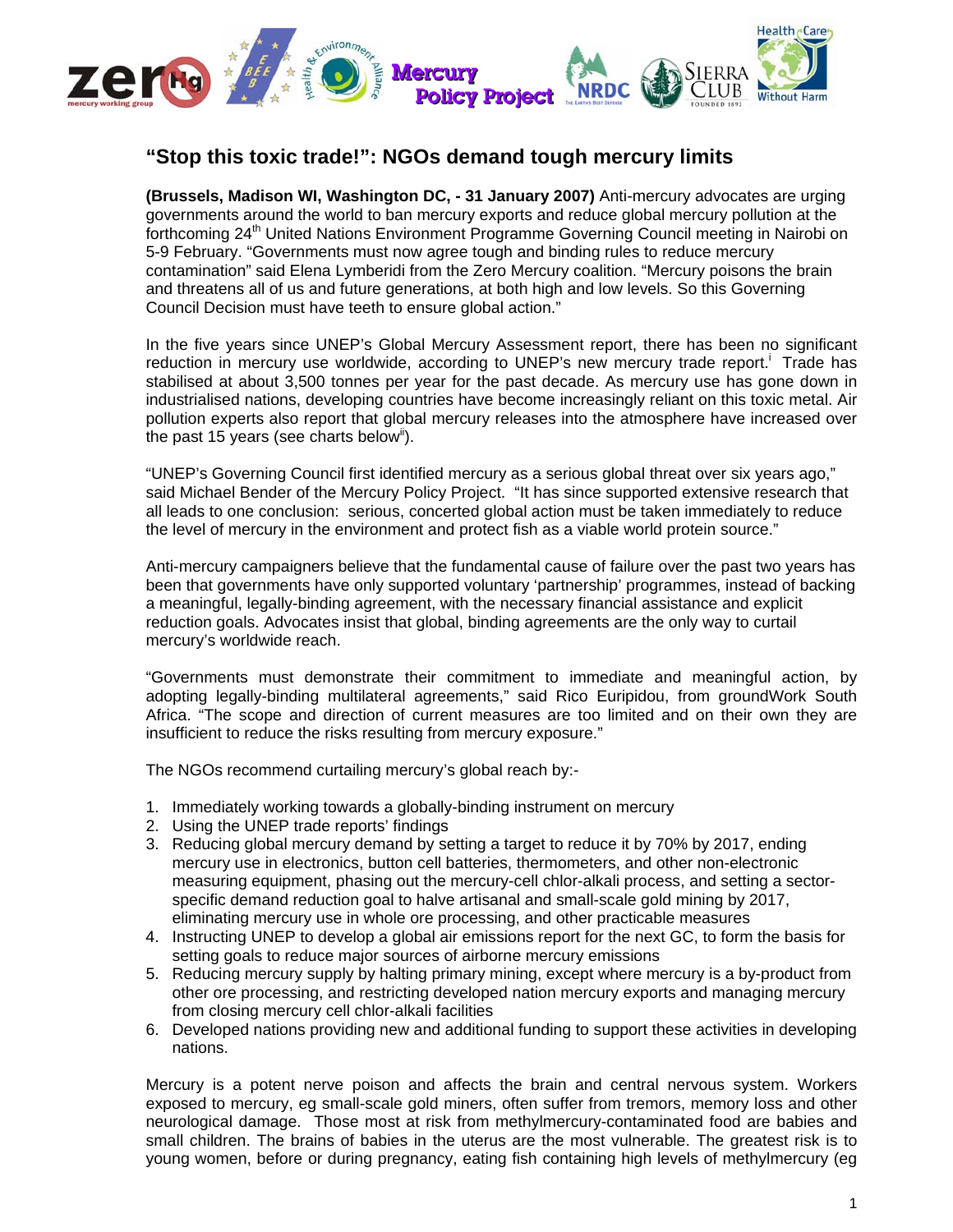

## **"Stop this toxic trade!": NGOs demand tough mercury limits**

**(Brussels, Madison WI, Washington DC, - 31 January 2007)** Anti-mercury advocates are urging governments around the world to ban mercury exports and reduce global mercury pollution at the forthcoming 24<sup>th</sup> United Nations Environment Programme Governing Council meeting in Nairobi on 5-9 February. "Governments must now agree tough and binding rules to reduce mercury contamination" said Elena Lymberidi from the Zero Mercury coalition. "Mercury poisons the brain and threatens all of us and future generations, at both high and low levels. So this Governing Council Decision must have teeth to ensure global action."

In the five years since UNEP's Global Mercury Assessment report, there has been no significant reduction in mercury use worldwide, according to UNEP's new mercury trade report. Trade has stabilised at about 3,500 tonnes per year for the past decade. As mercury use has gone down in industrialised nations, developing countries have become increasingly reliant on this toxic metal. Air pollution experts also report that global mercury releases into the atmosphere have increased over the past 15 years (see charts below<sup>ii</sup>).

"UNEP's Governing Council first identified mercury as a serious global threat over six years ago," said Michael Bender of the Mercury Policy Project. "It has since supported extensive research that all leads to one conclusion: serious, concerted global action must be taken immediately to reduce the level of mercury in the environment and protect fish as a viable world protein source."

Anti-mercury campaigners believe that the fundamental cause of failure over the past two years has been that governments have only supported voluntary 'partnership' programmes, instead of backing a meaningful, legally-binding agreement, with the necessary financial assistance and explicit reduction goals. Advocates insist that global, binding agreements are the only way to curtail mercury's worldwide reach.

"Governments must demonstrate their commitment to immediate and meaningful action, by adopting legally-binding multilateral agreements," said Rico Euripidou, from groundWork South Africa. "The scope and direction of current measures are too limited and on their own they are insufficient to reduce the risks resulting from mercury exposure."

The NGOs recommend curtailing mercury's global reach by:-

- 1. Immediately working towards a globally-binding instrument on mercury
- 2. Using the UNEP trade reports' findings
- 3. Reducing global mercury demand by setting a target to reduce it by 70% by 2017, ending mercury use in electronics, button cell batteries, thermometers, and other non-electronic measuring equipment, phasing out the mercury-cell chlor-alkali process, and setting a sectorspecific demand reduction goal to halve artisanal and small-scale gold mining by 2017, eliminating mercury use in whole ore processing, and other practicable measures
- 4. Instructing UNEP to develop a global air emissions report for the next GC, to form the basis for setting goals to reduce major sources of airborne mercury emissions
- 5. Reducing mercury supply by halting primary mining, except where mercury is a by-product from other ore processing, and restricting developed nation mercury exports and managing mercury from closing mercury cell chlor-alkali facilities
- 6. Developed nations providing new and additional funding to support these activities in developing nations.

Mercury is a potent nerve poison and affects the brain and central nervous system. Workers exposed to mercury, eg small-scale gold miners, often suffer from tremors, memory loss and other neurological damage. Those most at risk from methylmercury-contaminated food are babies and small children. The brains of babies in the uterus are the most vulnerable. The greatest risk is to young women, before or during pregnancy, eating fish containing high levels of methylmercury (eg